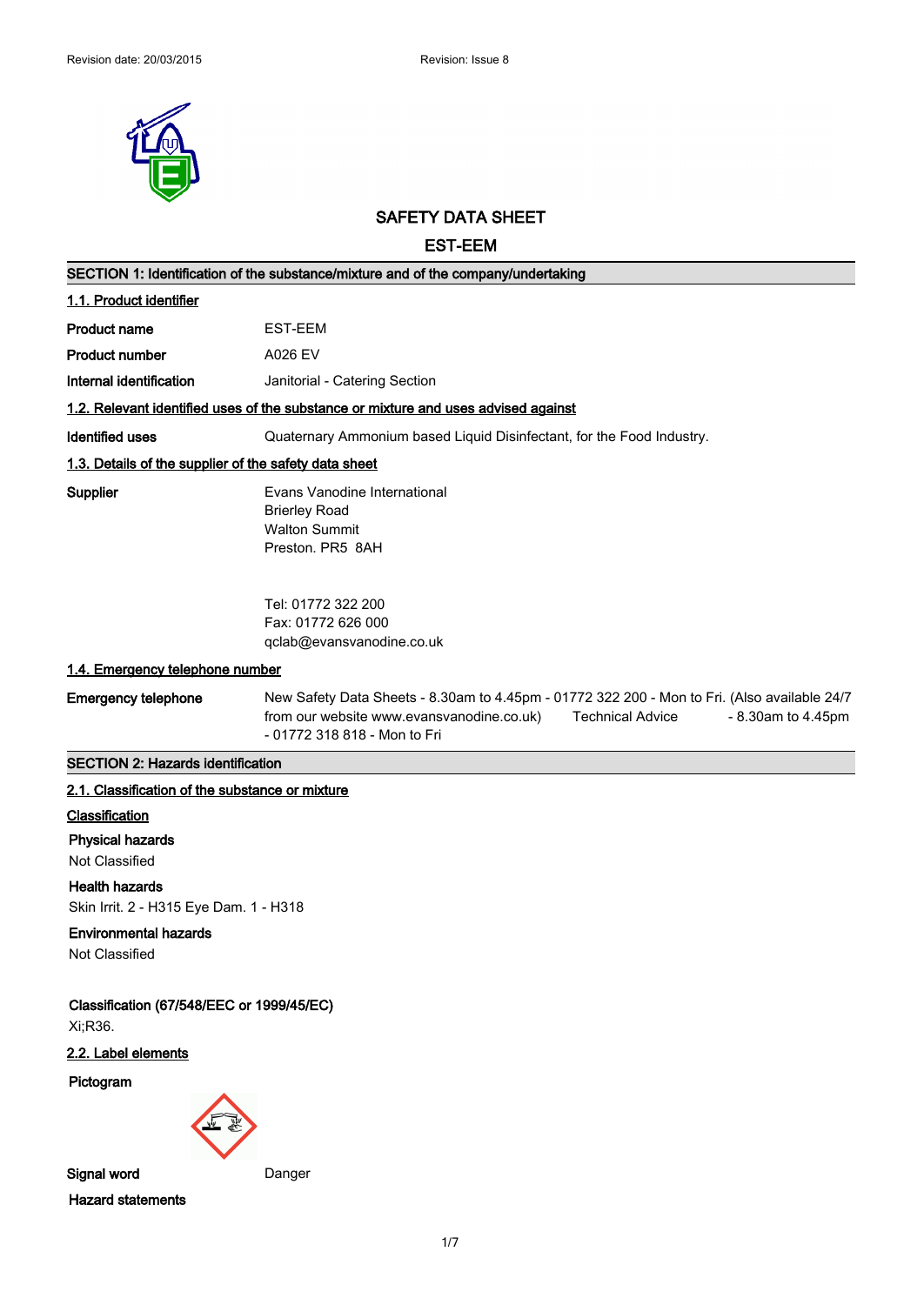

# **SAFETY DATA SHEET**

**EST-EEM**

| SECTION 1: Identification of the substance/mixture and of the company/undertaking  |                                                                                                                                                                                                                            |  |
|------------------------------------------------------------------------------------|----------------------------------------------------------------------------------------------------------------------------------------------------------------------------------------------------------------------------|--|
| 1.1. Product identifier                                                            |                                                                                                                                                                                                                            |  |
| <b>Product name</b>                                                                | EST-EEM                                                                                                                                                                                                                    |  |
| <b>Product number</b>                                                              | A026 EV                                                                                                                                                                                                                    |  |
| Internal identification                                                            | Janitorial - Catering Section                                                                                                                                                                                              |  |
| 1.2. Relevant identified uses of the substance or mixture and uses advised against |                                                                                                                                                                                                                            |  |
| <b>Identified uses</b>                                                             | Quaternary Ammonium based Liquid Disinfectant, for the Food Industry.                                                                                                                                                      |  |
| 1.3. Details of the supplier of the safety data sheet                              |                                                                                                                                                                                                                            |  |
| Supplier                                                                           | Evans Vanodine International<br><b>Brierley Road</b><br><b>Walton Summit</b><br>Preston. PR5 8AH                                                                                                                           |  |
|                                                                                    | Tel: 01772 322 200<br>Fax: 01772 626 000<br>qclab@evansvanodine.co.uk                                                                                                                                                      |  |
| 1.4. Emergency telephone number                                                    |                                                                                                                                                                                                                            |  |
| <b>Emergency telephone</b>                                                         | New Safety Data Sheets - 8.30am to 4.45pm - 01772 322 200 - Mon to Fri. (Also available 24/7<br>from our website www.evansvanodine.co.uk)<br><b>Technical Advice</b><br>- 8.30am to 4.45pm<br>- 01772 318 818 - Mon to Fri |  |
| <b>SECTION 2: Hazards identification</b>                                           |                                                                                                                                                                                                                            |  |
| 2.1. Classification of the substance or mixture                                    |                                                                                                                                                                                                                            |  |
| Classification                                                                     |                                                                                                                                                                                                                            |  |
| <b>Physical hazards</b>                                                            |                                                                                                                                                                                                                            |  |
| Not Classified                                                                     |                                                                                                                                                                                                                            |  |
| <b>Health hazards</b><br>Skin Irrit. 2 - H315 Eye Dam. 1 - H318                    |                                                                                                                                                                                                                            |  |
| <b>Environmental hazards</b><br>Not Classified                                     |                                                                                                                                                                                                                            |  |
| Classification (67/548/EEC or 1999/45/EC)<br>Xi;R36.                               |                                                                                                                                                                                                                            |  |
| 2.2. Label elements                                                                |                                                                                                                                                                                                                            |  |
| Pictogram                                                                          |                                                                                                                                                                                                                            |  |
| Signal word                                                                        | Danger                                                                                                                                                                                                                     |  |
| <b>Hazard statements</b>                                                           |                                                                                                                                                                                                                            |  |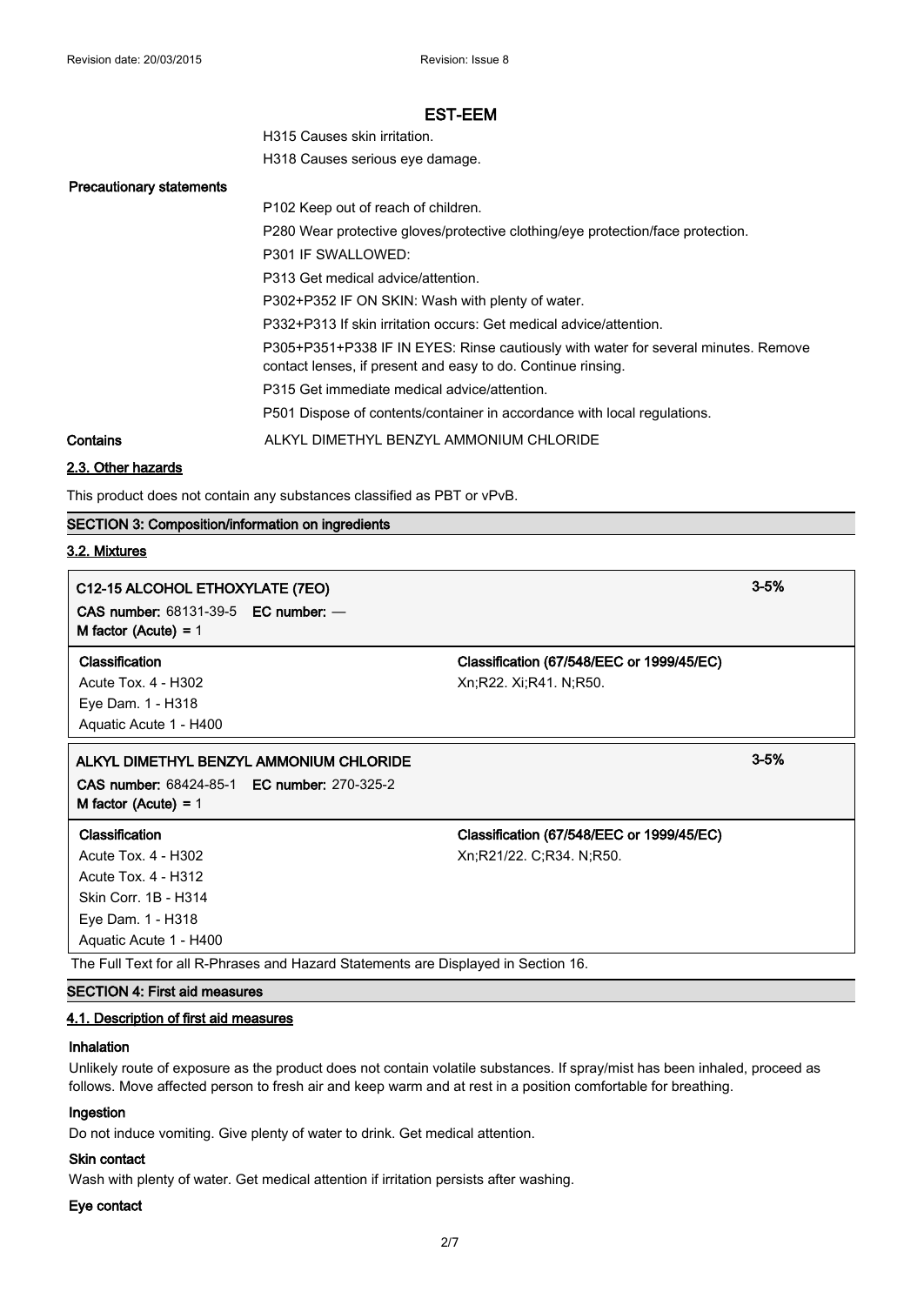| H315 Causes skin irritation.    |
|---------------------------------|
| H318 Causes serious eye damage. |

#### **Precautionary statements**

P102 Keep out of reach of children. P280 Wear protective gloves/protective clothing/eye protection/face protection. P301 IF SWALLOWED: P313 Get medical advice/attention. P302+P352 IF ON SKIN: Wash with plenty of water. P332+P313 If skin irritation occurs: Get medical advice/attention. P305+P351+P338 IF IN EYES: Rinse cautiously with water for several minutes. Remove contact lenses, if present and easy to do. Continue rinsing. P315 Get immediate medical advice/attention. P501 Dispose of contents/container in accordance with local regulations. **Contains** ALKYL DIMETHYL BENZYL AMMONIUM CHLORIDE

# **2.3. Other hazards**

This product does not contain any substances classified as PBT or vPvB.

# **SECTION 3: Composition/information on ingredients**

#### **3.2. Mixtures**

# **C12-15 ALCOHOL ETHOXYLATE (7EO) 3-5% CAS number:** 68131-39-5 **EC number:** — **M factor (Acute) =** 1 **Classification Classification (67/548/EEC or 1999/45/EC)** Acute Tox. 4 - H302 Xn;R22. Xi;R41. N;R50. Eye Dam. 1 - H318 Aquatic Acute 1 - H400 **ALKYL DIMETHYL BENZYL AMMONIUM CHLORIDE 3-5% CAS number:** 68424-85-1 **EC number:** 270-325-2 **M factor (Acute) =** 1 **Classification Classification (67/548/EEC or 1999/45/EC)** Acute Tox. 4 - H302 Xn;R21/22. C;R34. N;R50. Acute Tox. 4 - H312 Skin Corr. 1B - H314 Eye Dam. 1 - H318

The Full Text for all R-Phrases and Hazard Statements are Displayed in Section 16.

#### **SECTION 4: First aid measures**

Aquatic Acute 1 - H400

# **4.1. Description of first aid measures**

#### **Inhalation**

Unlikely route of exposure as the product does not contain volatile substances. If spray/mist has been inhaled, proceed as follows. Move affected person to fresh air and keep warm and at rest in a position comfortable for breathing.

#### **Ingestion**

Do not induce vomiting. Give plenty of water to drink. Get medical attention.

# **Skin contact**

Wash with plenty of water. Get medical attention if irritation persists after washing.

#### **Eye contact**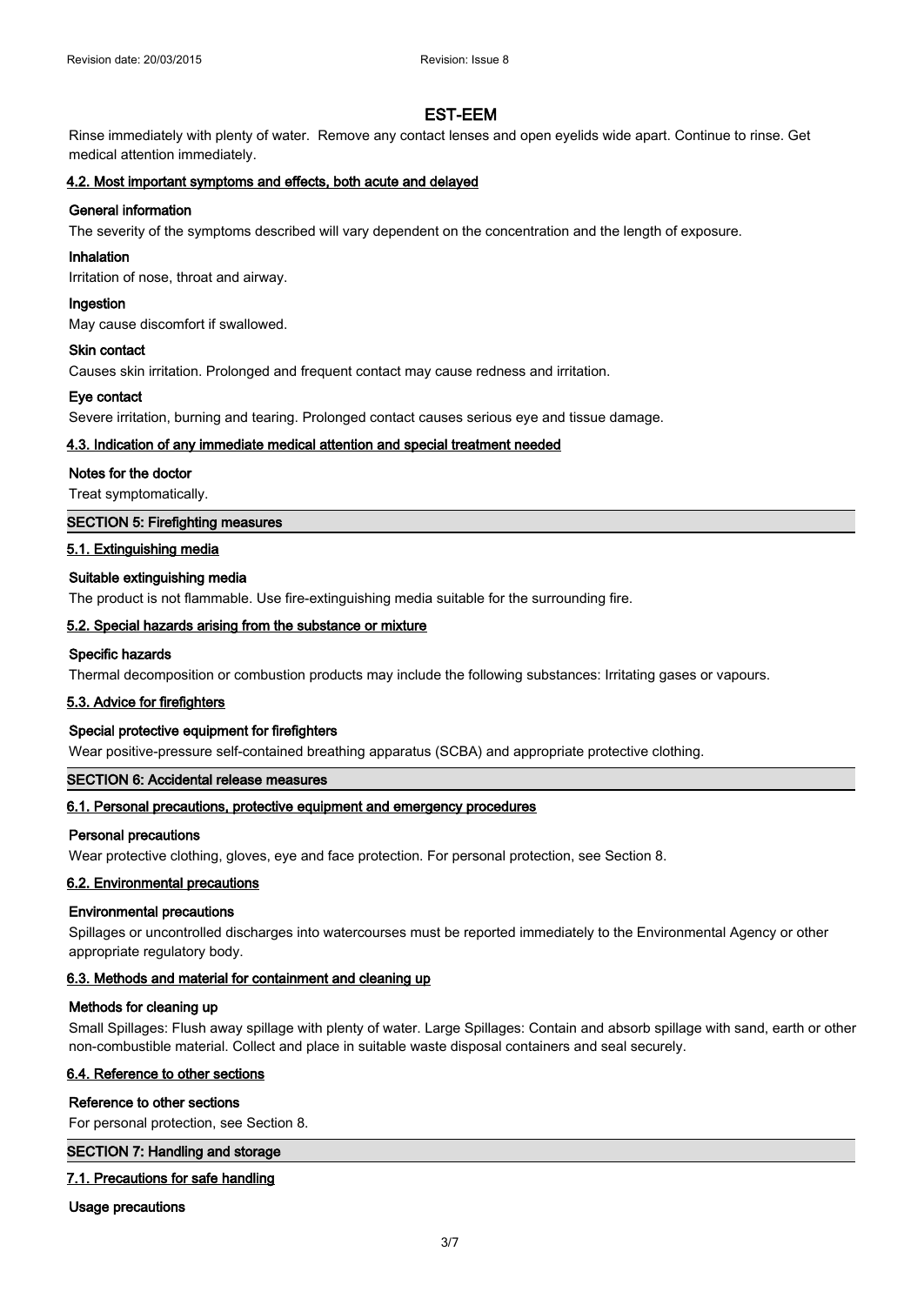Rinse immediately with plenty of water. Remove any contact lenses and open eyelids wide apart. Continue to rinse. Get medical attention immediately.

# **4.2. Most important symptoms and effects, both acute and delayed**

# **General information**

The severity of the symptoms described will vary dependent on the concentration and the length of exposure.

#### **Inhalation**

Irritation of nose, throat and airway.

#### **Ingestion**

May cause discomfort if swallowed.

#### **Skin contact**

Causes skin irritation. Prolonged and frequent contact may cause redness and irritation.

#### **Eye contact**

Severe irritation, burning and tearing. Prolonged contact causes serious eye and tissue damage.

## **4.3. Indication of any immediate medical attention and special treatment needed**

#### **Notes for the doctor**

Treat symptomatically.

## **SECTION 5: Firefighting measures**

## **5.1. Extinguishing media**

## **Suitable extinguishing media**

The product is not flammable. Use fire-extinguishing media suitable for the surrounding fire.

## **5.2. Special hazards arising from the substance or mixture**

# **Specific hazards**

Thermal decomposition or combustion products may include the following substances: Irritating gases or vapours.

# **5.3. Advice for firefighters**

#### **Special protective equipment for firefighters**

Wear positive-pressure self-contained breathing apparatus (SCBA) and appropriate protective clothing.

# **SECTION 6: Accidental release measures**

# **6.1. Personal precautions, protective equipment and emergency procedures**

#### **Personal precautions**

Wear protective clothing, gloves, eye and face protection. For personal protection, see Section 8.

#### **6.2. Environmental precautions**

#### **Environmental precautions**

Spillages or uncontrolled discharges into watercourses must be reported immediately to the Environmental Agency or other appropriate regulatory body.

# **6.3. Methods and material for containment and cleaning up**

#### **Methods for cleaning up**

Small Spillages: Flush away spillage with plenty of water. Large Spillages: Contain and absorb spillage with sand, earth or other non-combustible material. Collect and place in suitable waste disposal containers and seal securely.

#### **6.4. Reference to other sections**

#### **Reference to other sections**

For personal protection, see Section 8.

#### **SECTION 7: Handling and storage**

# **7.1. Precautions for safe handling**

**Usage precautions**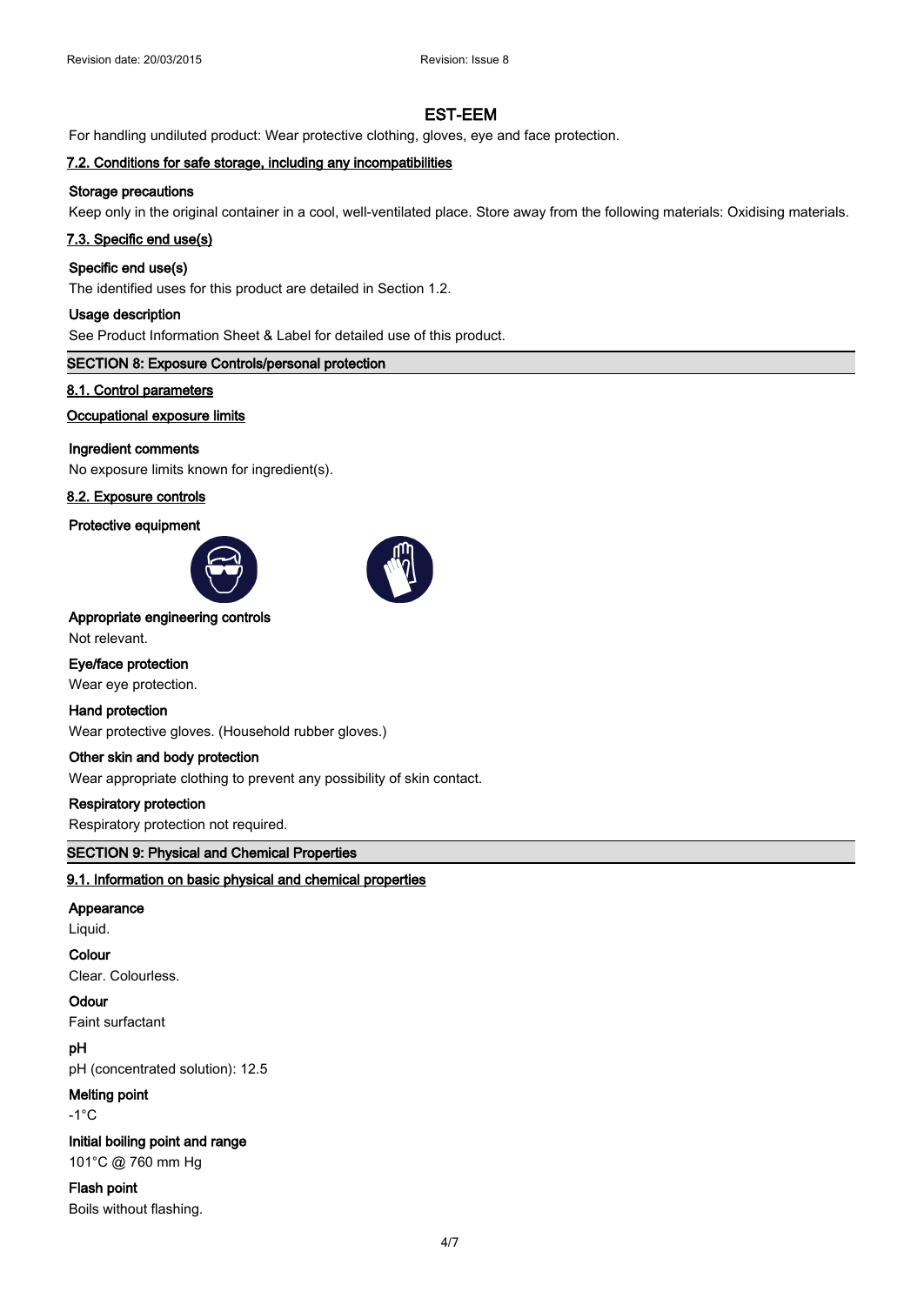For handling undiluted product: Wear protective clothing, gloves, eye and face protection.

# **7.2. Conditions for safe storage, including any incompatibilities**

## **Storage precautions**

Keep only in the original container in a cool, well-ventilated place. Store away from the following materials: Oxidising materials.

#### **7.3. Specific end use(s)**

# **Specific end use(s)**

The identified uses for this product are detailed in Section 1.2.

#### **Usage description**

See Product Information Sheet & Label for detailed use of this product.

## **SECTION 8: Exposure Controls/personal protection**

## **8.1. Control parameters**

## **Occupational exposure limits**

# **Ingredient comments**

No exposure limits known for ingredient(s).

# **8.2. Exposure controls**

#### **Protective equipment**





# **Appropriate engineering controls**

Not relevant.

# **Eye/face protection**

Wear eye protection.

# **Hand protection**

Wear protective gloves. (Household rubber gloves.)

# **Other skin and body protection**

Wear appropriate clothing to prevent any possibility of skin contact.

#### **Respiratory protection**

Respiratory protection not required.

### **SECTION 9: Physical and Chemical Properties**

# **9.1. Information on basic physical and chemical properties**

#### **Appearance**

Liquid.

# **Colour**

Clear. Colourless.

# **Odour**

Faint surfactant

# **pH**

pH (concentrated solution): 12.5

## **Melting point**

-1°C

## **Initial boiling point and range**

101°C @ 760 mm Hg

# **Flash point**

Boils without flashing.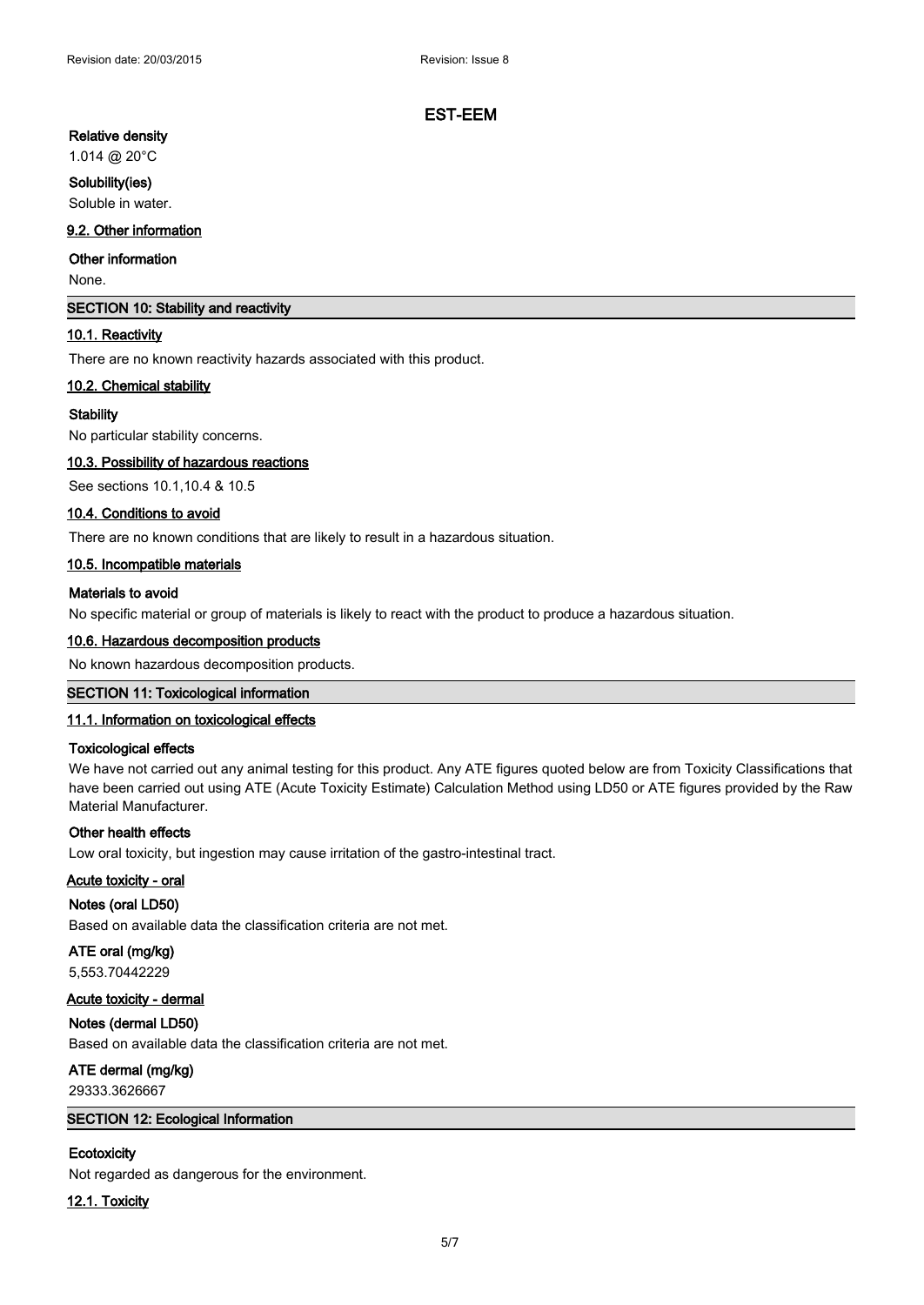# **Relative density**

# 1.014 @ 20°C

# **Solubility(ies)**

Soluble in water.

# **9.2. Other information**

# **Other information**

None.

# **SECTION 10: Stability and reactivity**

# **10.1. Reactivity**

There are no known reactivity hazards associated with this product.

# **10.2. Chemical stability**

## **Stability**

No particular stability concerns.

## **10.3. Possibility of hazardous reactions**

See sections 10.1,10.4 & 10.5

## **10.4. Conditions to avoid**

There are no known conditions that are likely to result in a hazardous situation.

## **10.5. Incompatible materials**

## **Materials to avoid**

No specific material or group of materials is likely to react with the product to produce a hazardous situation.

# **10.6. Hazardous decomposition products**

No known hazardous decomposition products.

# **SECTION 11: Toxicological information**

# **11.1. Information on toxicological effects**

# **Toxicological effects**

We have not carried out any animal testing for this product. Any ATE figures quoted below are from Toxicity Classifications that have been carried out using ATE (Acute Toxicity Estimate) Calculation Method using LD50 or ATE figures provided by the Raw Material Manufacturer.

#### **Other health effects**

Low oral toxicity, but ingestion may cause irritation of the gastro-intestinal tract.

# **Acute toxicity - oral**

# **Notes (oral LD50)**

Based on available data the classification criteria are not met.

# **ATE oral (mg/kg)**

5,553.70442229

# **Acute toxicity - dermal**

# **Notes (dermal LD50)**

Based on available data the classification criteria are not met.

# **ATE dermal (mg/kg)**

29333.3626667

# **SECTION 12: Ecological Information**

# **Ecotoxicity**

Not regarded as dangerous for the environment.

# **12.1. Toxicity**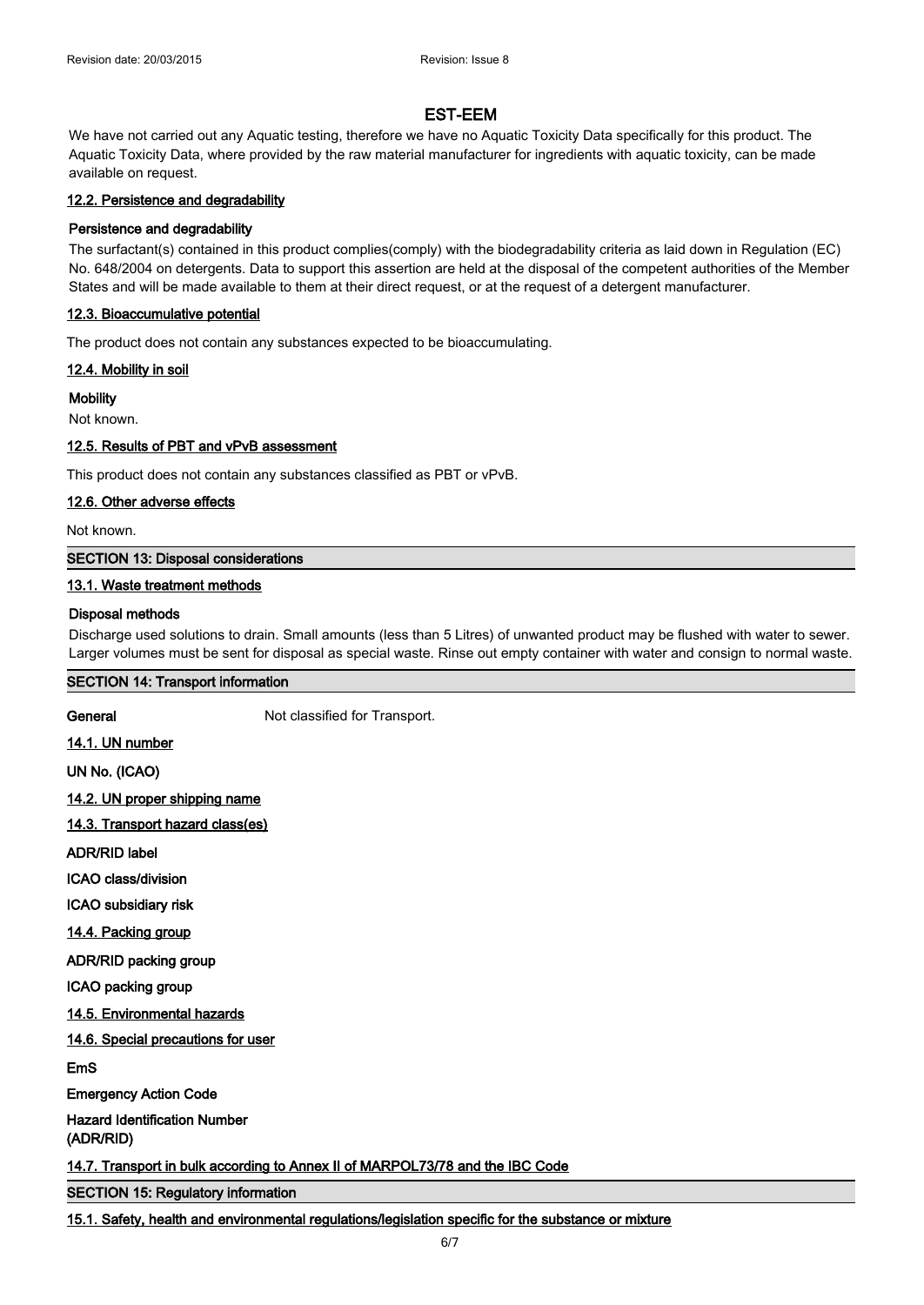We have not carried out any Aquatic testing, therefore we have no Aquatic Toxicity Data specifically for this product. The Aquatic Toxicity Data, where provided by the raw material manufacturer for ingredients with aquatic toxicity, can be made available on request.

## **12.2. Persistence and degradability**

## **Persistence and degradability**

The surfactant(s) contained in this product complies(comply) with the biodegradability criteria as laid down in Regulation (EC) No. 648/2004 on detergents. Data to support this assertion are held at the disposal of the competent authorities of the Member States and will be made available to them at their direct request, or at the request of a detergent manufacturer.

## **12.3. Bioaccumulative potential**

The product does not contain any substances expected to be bioaccumulating.

**12.4. Mobility in soil**

**Mobility**

Not known.

## **12.5. Results of PBT and vPvB assessment**

This product does not contain any substances classified as PBT or vPvB.

# **12.6. Other adverse effects**

Not known.

## **SECTION 13: Disposal considerations**

## **13.1. Waste treatment methods**

## **Disposal methods**

Discharge used solutions to drain. Small amounts (less than 5 Litres) of unwanted product may be flushed with water to sewer. Larger volumes must be sent for disposal as special waste. Rinse out empty container with water and consign to normal waste.

#### **SECTION 14: Transport information**

**General** Not classified for Transport.

**14.1. UN number**

**UN No. (ICAO)**

**14.2. UN proper shipping name**

**14.3. Transport hazard class(es)**

**ADR/RID label**

**ICAO class/division**

**ICAO subsidiary risk**

**14.4. Packing group**

**ADR/RID packing group**

**ICAO packing group**

**14.5. Environmental hazards**

**14.6. Special precautions for user**

**EmS**

**Emergency Action Code**

**Hazard Identification Number (ADR/RID)**

**14.7. Transport in bulk according to Annex II of MARPOL73/78 and the IBC Code**

**SECTION 15: Regulatory information**